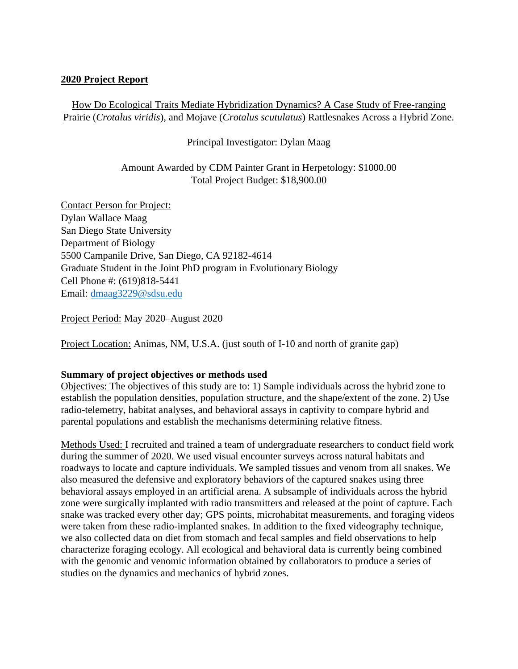### **2020 Project Report**

# How Do Ecological Traits Mediate Hybridization Dynamics? A Case Study of Free-ranging Prairie (*Crotalus viridis*), and Mojave (*Crotalus scutulatus*) Rattlesnakes Across a Hybrid Zone.

## Principal Investigator: Dylan Maag

## Amount Awarded by CDM Painter Grant in Herpetology: \$1000.00 Total Project Budget: \$18,900.00

Contact Person for Project: Dylan Wallace Maag San Diego State University Department of Biology 5500 Campanile Drive, San Diego, CA 92182-4614 Graduate Student in the Joint PhD program in Evolutionary Biology Cell Phone #: (619)818-5441 Email: [dmaag3229@sdsu.edu](mailto:dmaag3229@sdsu.edu)

Project Period: May 2020–August 2020

Project Location: Animas, NM, U.S.A. (just south of I-10 and north of granite gap)

#### **Summary of project objectives or methods used**

Objectives: The objectives of this study are to: 1) Sample individuals across the hybrid zone to establish the population densities, population structure, and the shape/extent of the zone. 2) Use radio-telemetry, habitat analyses, and behavioral assays in captivity to compare hybrid and parental populations and establish the mechanisms determining relative fitness.

Methods Used: I recruited and trained a team of undergraduate researchers to conduct field work during the summer of 2020. We used visual encounter surveys across natural habitats and roadways to locate and capture individuals. We sampled tissues and venom from all snakes. We also measured the defensive and exploratory behaviors of the captured snakes using three behavioral assays employed in an artificial arena. A subsample of individuals across the hybrid zone were surgically implanted with radio transmitters and released at the point of capture. Each snake was tracked every other day; GPS points, microhabitat measurements, and foraging videos were taken from these radio-implanted snakes. In addition to the fixed videography technique, we also collected data on diet from stomach and fecal samples and field observations to help characterize foraging ecology. All ecological and behavioral data is currently being combined with the genomic and venomic information obtained by collaborators to produce a series of studies on the dynamics and mechanics of hybrid zones.